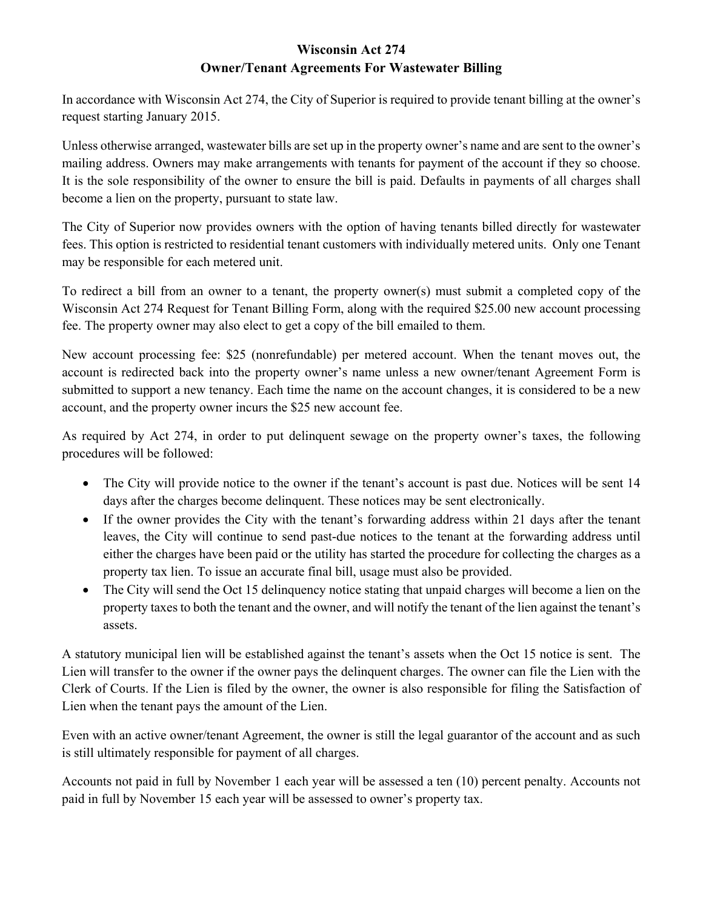## **Wisconsin Act 274 Owner/Tenant Agreements For Wastewater Billing**

In accordance with Wisconsin Act 274, the City of Superior is required to provide tenant billing at the owner's request starting January 2015.

Unless otherwise arranged, wastewater bills are set up in the property owner's name and are sent to the owner's mailing address. Owners may make arrangements with tenants for payment of the account if they so choose. It is the sole responsibility of the owner to ensure the bill is paid. Defaults in payments of all charges shall become a lien on the property, pursuant to state law.

The City of Superior now provides owners with the option of having tenants billed directly for wastewater fees. This option is restricted to residential tenant customers with individually metered units. Only one Tenant may be responsible for each metered unit.

To redirect a bill from an owner to a tenant, the property owner(s) must submit a completed copy of the Wisconsin Act 274 Request for Tenant Billing Form, along with the required \$25.00 new account processing fee. The property owner may also elect to get a copy of the bill emailed to them.

New account processing fee: \$25 (nonrefundable) per metered account. When the tenant moves out, the account is redirected back into the property owner's name unless a new owner/tenant Agreement Form is submitted to support a new tenancy. Each time the name on the account changes, it is considered to be a new account, and the property owner incurs the \$25 new account fee.

As required by Act 274, in order to put delinquent sewage on the property owner's taxes, the following procedures will be followed:

- The City will provide notice to the owner if the tenant's account is past due. Notices will be sent 14 days after the charges become delinquent. These notices may be sent electronically.
- If the owner provides the City with the tenant's forwarding address within 21 days after the tenant leaves, the City will continue to send past-due notices to the tenant at the forwarding address until either the charges have been paid or the utility has started the procedure for collecting the charges as a property tax lien. To issue an accurate final bill, usage must also be provided.
- The City will send the Oct 15 delinquency notice stating that unpaid charges will become a lien on the property taxes to both the tenant and the owner, and will notify the tenant of the lien against the tenant's assets.

A statutory municipal lien will be established against the tenant's assets when the Oct 15 notice is sent. The Lien will transfer to the owner if the owner pays the delinquent charges. The owner can file the Lien with the Clerk of Courts. If the Lien is filed by the owner, the owner is also responsible for filing the Satisfaction of Lien when the tenant pays the amount of the Lien.

Even with an active owner/tenant Agreement, the owner is still the legal guarantor of the account and as such is still ultimately responsible for payment of all charges.

Accounts not paid in full by November 1 each year will be assessed a ten (10) percent penalty. Accounts not paid in full by November 15 each year will be assessed to owner's property tax.